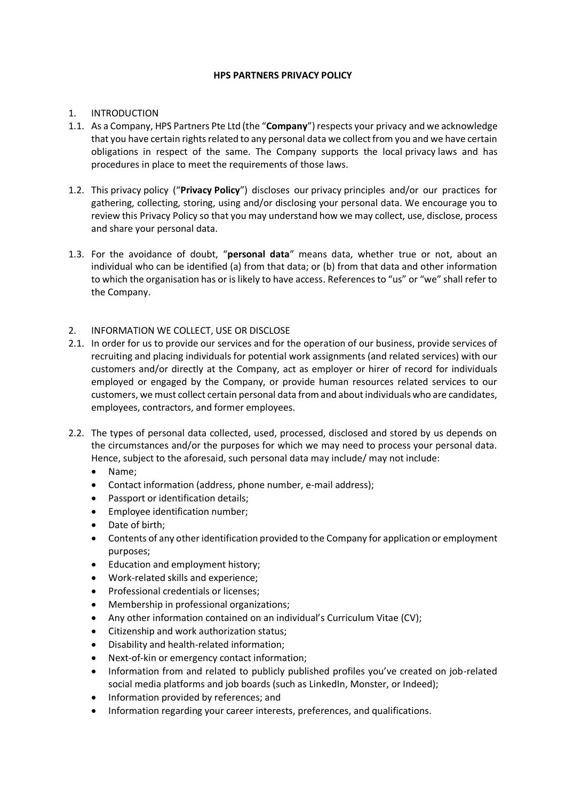### **HPS PARTNERS PRIVACY POLICY**

# 1. INTRODUCTION

- 1.1. As a Company, HPS Partners Pte Ltd (the "**Company**") respects your privacy and we acknowledge that you have certain rights related to any personal data we collect from you and we have certain obligations in respect of the same. The Company supports the local privacy laws and has procedures in place to meet the requirements of those laws.
- 1.2. This privacy policy ("**Privacy Policy**") discloses our privacy principles and/or our practices for gathering, collecting, storing, using and/or disclosing your personal data. We encourage you to review this Privacy Policy so that you may understand how we may collect, use, disclose, process and share your personal data.
- 1.3. For the avoidance of doubt, "**personal data**" means data, whether true or not, about an individual who can be identified (a) from that data; or (b) from that data and other information to which the organisation has or is likely to have access. References to "us" or "we" shall refer to the Company.
- 2. INFORMATION WE COLLECT, USE OR DISCLOSE
- 2.1. In order for us to provide our services and for the operation of our business, provide services of recruiting and placing individuals for potential work assignments (and related services) with our customers and/or directly at the Company, act as employer or hirer of record for individuals employed or engaged by the Company, or provide human resources related services to our customers, we must collect certain personal data from and about individuals who are candidates, employees, contractors, and former employees.
- 2.2. The types of personal data collected, used, processed, disclosed and stored by us depends on the circumstances and/or the purposes for which we may need to process your personal data. Hence, subject to the aforesaid, such personal data may include/ may not include:
	- Name;
	- Contact information (address, phone number, e-mail address);
	- Passport or identification details;
	- Employee identification number;
	- Date of birth;
	- Contents of any other identification provided to the Company for application or employment purposes;
	- Education and employment history;
	- Work-related skills and experience;
	- Professional credentials or licenses;
	- Membership in professional organizations;
	- Any other information contained on an individual's Curriculum Vitae (CV);
	- Citizenship and work authorization status;
	- Disability and health-related information;
	- Next-of-kin or emergency contact information;
	- Information from and related to publicly published profiles you've created on job-related social media platforms and job boards (such as LinkedIn, Monster, or Indeed);
	- Information provided by references; and
	- Information regarding your career interests, preferences, and qualifications.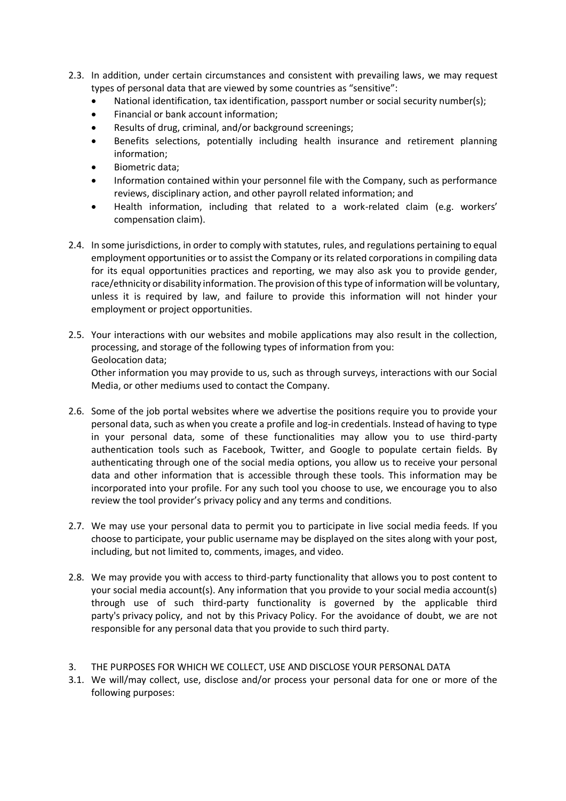- 2.3. In addition, under certain circumstances and consistent with prevailing laws, we may request types of personal data that are viewed by some countries as "sensitive":
	- National identification, tax identification, passport number or social security number(s);
	- Financial or bank account information;
	- Results of drug, criminal, and/or background screenings;
	- Benefits selections, potentially including health insurance and retirement planning information;
	- Biometric data;
	- Information contained within your personnel file with the Company, such as performance reviews, disciplinary action, and other payroll related information; and
	- Health information, including that related to a work-related claim (e.g. workers' compensation claim).
- 2.4. In some jurisdictions, in order to comply with statutes, rules, and regulations pertaining to equal employment opportunities or to assist the Company or its related corporations in compiling data for its equal opportunities practices and reporting, we may also ask you to provide gender, race/ethnicity or disability information. The provision of this type of information will be voluntary, unless it is required by law, and failure to provide this information will not hinder your employment or project opportunities.
- 2.5. Your interactions with our websites and mobile applications may also result in the collection, processing, and storage of the following types of information from you: Geolocation data;

Other information you may provide to us, such as through surveys, interactions with our Social Media, or other mediums used to contact the Company.

- 2.6. Some of the job portal websites where we advertise the positions require you to provide your personal data, such as when you create a profile and log-in credentials. Instead of having to type in your personal data, some of these functionalities may allow you to use third-party authentication tools such as Facebook, Twitter, and Google to populate certain fields. By authenticating through one of the social media options, you allow us to receive your personal data and other information that is accessible through these tools. This information may be incorporated into your profile. For any such tool you choose to use, we encourage you to also review the tool provider's privacy policy and any terms and conditions.
- 2.7. We may use your personal data to permit you to participate in live social media feeds. If you choose to participate, your public username may be displayed on the sites along with your post, including, but not limited to, comments, images, and video.
- 2.8. We may provide you with access to third-party functionality that allows you to post content to your social media account(s). Any information that you provide to your social media account(s) through use of such third-party functionality is governed by the applicable third party's privacy policy, and not by this Privacy Policy. For the avoidance of doubt, we are not responsible for any personal data that you provide to such third party.
- 3. THE PURPOSES FOR WHICH WE COLLECT, USE AND DISCLOSE YOUR PERSONAL DATA
- 3.1. We will/may collect, use, disclose and/or process your personal data for one or more of the following purposes: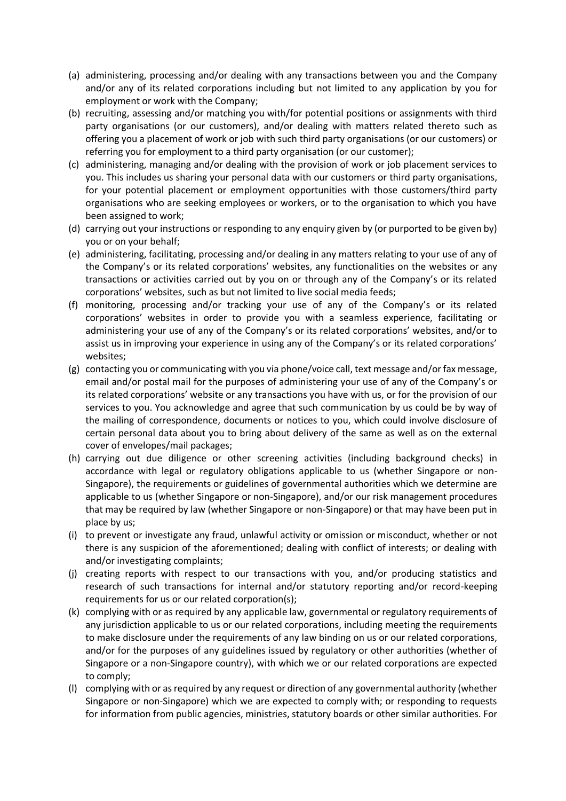- (a) administering, processing and/or dealing with any transactions between you and the Company and/or any of its related corporations including but not limited to any application by you for employment or work with the Company;
- (b) recruiting, assessing and/or matching you with/for potential positions or assignments with third party organisations (or our customers), and/or dealing with matters related thereto such as offering you a placement of work or job with such third party organisations (or our customers) or referring you for employment to a third party organisation (or our customer);
- (c) administering, managing and/or dealing with the provision of work or job placement services to you. This includes us sharing your personal data with our customers or third party organisations, for your potential placement or employment opportunities with those customers/third party organisations who are seeking employees or workers, or to the organisation to which you have been assigned to work;
- (d) carrying out your instructions or responding to any enquiry given by (or purported to be given by) you or on your behalf;
- (e) administering, facilitating, processing and/or dealing in any matters relating to your use of any of the Company's or its related corporations' websites, any functionalities on the websites or any transactions or activities carried out by you on or through any of the Company's or its related corporations' websites, such as but not limited to live social media feeds;
- (f) monitoring, processing and/or tracking your use of any of the Company's or its related corporations' websites in order to provide you with a seamless experience, facilitating or administering your use of any of the Company's or its related corporations' websites, and/or to assist us in improving your experience in using any of the Company's or its related corporations' websites;
- (g) contacting you or communicating with you via phone/voice call, text message and/or fax message, email and/or postal mail for the purposes of administering your use of any of the Company's or its related corporations' website or any transactions you have with us, or for the provision of our services to you. You acknowledge and agree that such communication by us could be by way of the mailing of correspondence, documents or notices to you, which could involve disclosure of certain personal data about you to bring about delivery of the same as well as on the external cover of envelopes/mail packages;
- (h) carrying out due diligence or other screening activities (including background checks) in accordance with legal or regulatory obligations applicable to us (whether Singapore or non-Singapore), the requirements or guidelines of governmental authorities which we determine are applicable to us (whether Singapore or non-Singapore), and/or our risk management procedures that may be required by law (whether Singapore or non-Singapore) or that may have been put in place by us;
- (i) to prevent or investigate any fraud, unlawful activity or omission or misconduct, whether or not there is any suspicion of the aforementioned; dealing with conflict of interests; or dealing with and/or investigating complaints;
- (j) creating reports with respect to our transactions with you, and/or producing statistics and research of such transactions for internal and/or statutory reporting and/or record-keeping requirements for us or our related corporation(s);
- (k) complying with or as required by any applicable law, governmental or regulatory requirements of any jurisdiction applicable to us or our related corporations, including meeting the requirements to make disclosure under the requirements of any law binding on us or our related corporations, and/or for the purposes of any guidelines issued by regulatory or other authorities (whether of Singapore or a non-Singapore country), with which we or our related corporations are expected to comply;
- (l) complying with or as required by any request or direction of any governmental authority (whether Singapore or non-Singapore) which we are expected to comply with; or responding to requests for information from public agencies, ministries, statutory boards or other similar authorities. For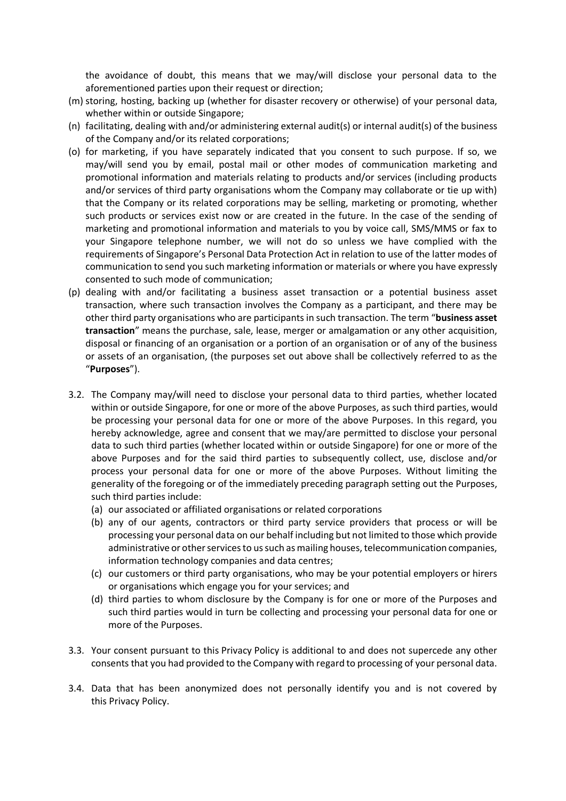the avoidance of doubt, this means that we may/will disclose your personal data to the aforementioned parties upon their request or direction;

- (m) storing, hosting, backing up (whether for disaster recovery or otherwise) of your personal data, whether within or outside Singapore;
- (n) facilitating, dealing with and/or administering external audit(s) or internal audit(s) of the business of the Company and/or its related corporations;
- (o) for marketing, if you have separately indicated that you consent to such purpose. If so, we may/will send you by email, postal mail or other modes of communication marketing and promotional information and materials relating to products and/or services (including products and/or services of third party organisations whom the Company may collaborate or tie up with) that the Company or its related corporations may be selling, marketing or promoting, whether such products or services exist now or are created in the future. In the case of the sending of marketing and promotional information and materials to you by voice call, SMS/MMS or fax to your Singapore telephone number, we will not do so unless we have complied with the requirements of Singapore's Personal Data Protection Act in relation to use of the latter modes of communication to send you such marketing information or materials or where you have expressly consented to such mode of communication;
- (p) dealing with and/or facilitating a business asset transaction or a potential business asset transaction, where such transaction involves the Company as a participant, and there may be other third party organisations who are participants in such transaction. The term "**business asset transaction**" means the purchase, sale, lease, merger or amalgamation or any other acquisition, disposal or financing of an organisation or a portion of an organisation or of any of the business or assets of an organisation, (the purposes set out above shall be collectively referred to as the "**Purposes**").
- 3.2. The Company may/will need to disclose your personal data to third parties, whether located within or outside Singapore, for one or more of the above Purposes, as such third parties, would be processing your personal data for one or more of the above Purposes. In this regard, you hereby acknowledge, agree and consent that we may/are permitted to disclose your personal data to such third parties (whether located within or outside Singapore) for one or more of the above Purposes and for the said third parties to subsequently collect, use, disclose and/or process your personal data for one or more of the above Purposes. Without limiting the generality of the foregoing or of the immediately preceding paragraph setting out the Purposes, such third parties include:
	- (a) our associated or affiliated organisations or related corporations
	- (b) any of our agents, contractors or third party service providers that process or will be processing your personal data on our behalf including but not limited to those which provide administrative or other services to us such as mailing houses, telecommunication companies, information technology companies and data centres;
	- (c) our customers or third party organisations, who may be your potential employers or hirers or organisations which engage you for your services; and
	- (d) third parties to whom disclosure by the Company is for one or more of the Purposes and such third parties would in turn be collecting and processing your personal data for one or more of the Purposes.
- 3.3. Your consent pursuant to this Privacy Policy is additional to and does not supercede any other consents that you had provided to the Company with regard to processing of your personal data.
- 3.4. Data that has been anonymized does not personally identify you and is not covered by this Privacy Policy.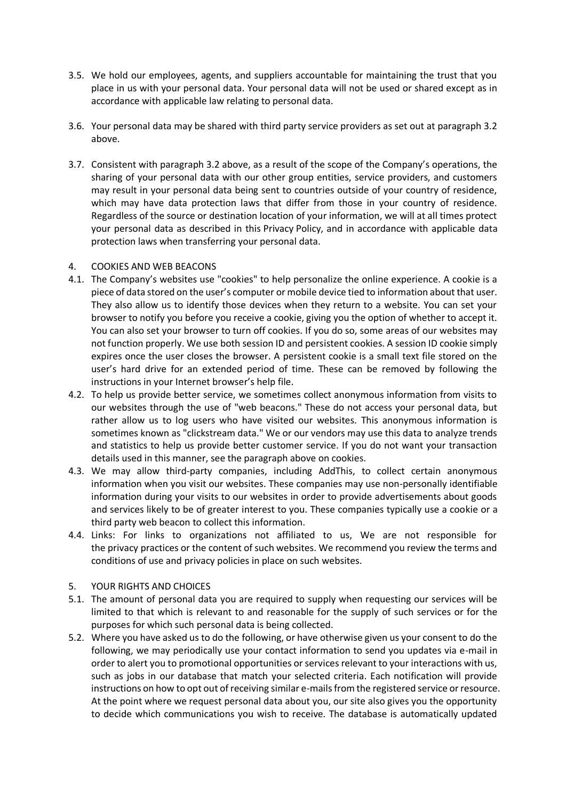- 3.5. We hold our employees, agents, and suppliers accountable for maintaining the trust that you place in us with your personal data. Your personal data will not be used or shared except as in accordance with applicable law relating to personal data.
- 3.6. Your personal data may be shared with third party service providers as set out at paragraph 3.2 above.
- 3.7. Consistent with paragraph 3.2 above, as a result of the scope of the Company's operations, the sharing of your personal data with our other group entities, service providers, and customers may result in your personal data being sent to countries outside of your country of residence, which may have data protection laws that differ from those in your country of residence. Regardless of the source or destination location of your information, we will at all times protect your personal data as described in this Privacy Policy, and in accordance with applicable data protection laws when transferring your personal data.

### 4. COOKIES AND WEB BEACONS

- 4.1. The Company's websites use "cookies" to help personalize the online experience. A cookie is a piece of data stored on the user's computer or mobile device tied to information about that user. They also allow us to identify those devices when they return to a website. You can set your browser to notify you before you receive a cookie, giving you the option of whether to accept it. You can also set your browser to turn off cookies. If you do so, some areas of our websites may not function properly. We use both session ID and persistent cookies. A session ID cookie simply expires once the user closes the browser. A persistent cookie is a small text file stored on the user's hard drive for an extended period of time. These can be removed by following the instructions in your Internet browser's help file.
- 4.2. To help us provide better service, we sometimes collect anonymous information from visits to our websites through the use of "web beacons." These do not access your personal data, but rather allow us to log users who have visited our websites. This anonymous information is sometimes known as "clickstream data." We or our vendors may use this data to analyze trends and statistics to help us provide better customer service. If you do not want your transaction details used in this manner, see the paragraph above on cookies.
- 4.3. We may allow third-party companies, including AddThis, to collect certain anonymous information when you visit our websites. These companies may use non-personally identifiable information during your visits to our websites in order to provide advertisements about goods and services likely to be of greater interest to you. These companies typically use a cookie or a third party web beacon to collect this information.
- 4.4. Links: For links to organizations not affiliated to us, We are not responsible for the privacy practices or the content of such websites. We recommend you review the terms and conditions of use and privacy policies in place on such websites.

## 5. YOUR RIGHTS AND CHOICES

- 5.1. The amount of personal data you are required to supply when requesting our services will be limited to that which is relevant to and reasonable for the supply of such services or for the purposes for which such personal data is being collected.
- 5.2. Where you have asked us to do the following, or have otherwise given us your consent to do the following, we may periodically use your contact information to send you updates via e-mail in order to alert you to promotional opportunities or services relevant to your interactions with us, such as jobs in our database that match your selected criteria. Each notification will provide instructions on how to opt out of receiving similar e-mails from the registered service or resource. At the point where we request personal data about you, our site also gives you the opportunity to decide which communications you wish to receive. The database is automatically updated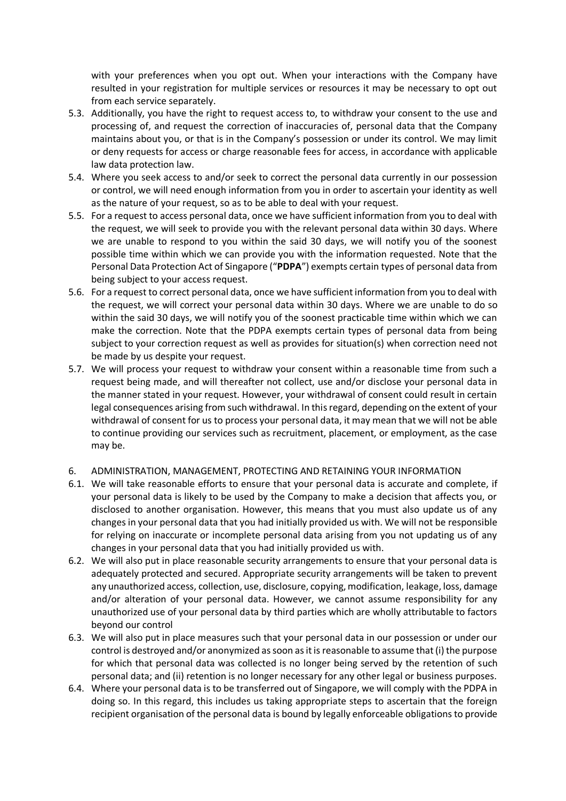with your preferences when you opt out. When your interactions with the Company have resulted in your registration for multiple services or resources it may be necessary to opt out from each service separately.

- 5.3. Additionally, you have the right to request access to, to withdraw your consent to the use and processing of, and request the correction of inaccuracies of, personal data that the Company maintains about you, or that is in the Company's possession or under its control. We may limit or deny requests for access or charge reasonable fees for access, in accordance with applicable law data protection law.
- 5.4. Where you seek access to and/or seek to correct the personal data currently in our possession or control, we will need enough information from you in order to ascertain your identity as well as the nature of your request, so as to be able to deal with your request.
- 5.5. For a request to access personal data, once we have sufficient information from you to deal with the request, we will seek to provide you with the relevant personal data within 30 days. Where we are unable to respond to you within the said 30 days, we will notify you of the soonest possible time within which we can provide you with the information requested. Note that the Personal Data Protection Act of Singapore ("**PDPA**") exempts certain types of personal data from being subject to your access request.
- 5.6. For a request to correct personal data, once we have sufficient information from you to deal with the request, we will correct your personal data within 30 days. Where we are unable to do so within the said 30 days, we will notify you of the soonest practicable time within which we can make the correction. Note that the PDPA exempts certain types of personal data from being subject to your correction request as well as provides for situation(s) when correction need not be made by us despite your request.
- 5.7. We will process your request to withdraw your consent within a reasonable time from such a request being made, and will thereafter not collect, use and/or disclose your personal data in the manner stated in your request. However, your withdrawal of consent could result in certain legal consequences arising from such withdrawal. In this regard, depending on the extent of your withdrawal of consent for us to process your personal data, it may mean that we will not be able to continue providing our services such as recruitment, placement, or employment, as the case may be.
- 6. ADMINISTRATION, MANAGEMENT, PROTECTING AND RETAINING YOUR INFORMATION
- 6.1. We will take reasonable efforts to ensure that your personal data is accurate and complete, if your personal data is likely to be used by the Company to make a decision that affects you, or disclosed to another organisation. However, this means that you must also update us of any changes in your personal data that you had initially provided us with. We will not be responsible for relying on inaccurate or incomplete personal data arising from you not updating us of any changes in your personal data that you had initially provided us with.
- 6.2. We will also put in place reasonable security arrangements to ensure that your personal data is adequately protected and secured. Appropriate security arrangements will be taken to prevent any unauthorized access, collection, use, disclosure, copying, modification, leakage, loss, damage and/or alteration of your personal data. However, we cannot assume responsibility for any unauthorized use of your personal data by third parties which are wholly attributable to factors beyond our control
- 6.3. We will also put in place measures such that your personal data in our possession or under our control is destroyed and/or anonymized as soon as it is reasonable to assume that (i) the purpose for which that personal data was collected is no longer being served by the retention of such personal data; and (ii) retention is no longer necessary for any other legal or business purposes.
- 6.4. Where your personal data is to be transferred out of Singapore, we will comply with the PDPA in doing so. In this regard, this includes us taking appropriate steps to ascertain that the foreign recipient organisation of the personal data is bound by legally enforceable obligations to provide